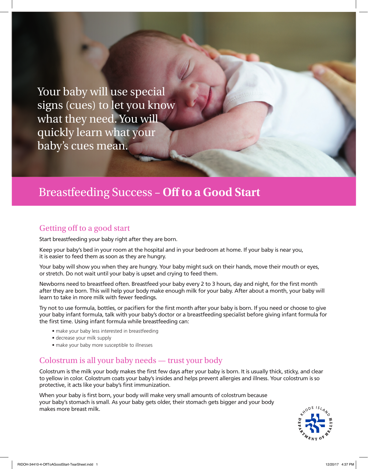Your baby will use special signs (cues) to let you know what they need. You will quickly learn what your baby's cues mean.

## Breastfeeding Success – **Off to a Good Start**

#### Getting off to a good start

Start breastfeeding your baby right after they are born.

Keep your baby's bed in your room at the hospital and in your bedroom at home. If your baby is near you, it is easier to feed them as soon as they are hungry.

Your baby will show you when they are hungry. Your baby might suck on their hands, move their mouth or eyes, or stretch. Do not wait until your baby is upset and crying to feed them.

Newborns need to breastfeed often. Breastfeed your baby every 2 to 3 hours, day and night, for the first month after they are born. This will help your body make enough milk for your baby. After about a month, your baby will learn to take in more milk with fewer feedings.

Try not to use formula, bottles, or pacifiers for the first month after your baby is born. If you need or choose to give your baby infant formula, talk with your baby's doctor or a breastfeeding specialist before giving infant formula for the first time. Using infant formula while breastfeeding can:

- make your baby less interested in breastfeeding
- decrease your milk supply
- make your baby more susceptible to illnesses

#### Colostrum is all your baby needs — trust your body

Colostrum is the milk your body makes the first few days after your baby is born. It is usually thick, sticky, and clear to yellow in color. Colostrum coats your baby's insides and helps prevent allergies and illness. Your colostrum is so protective, it acts like your baby's first immunization.

When your baby is first born, your body will make very small amounts of colostrum because your baby's stomach is small. As your baby gets older, their stomach gets bigger and your body makes more breast milk.